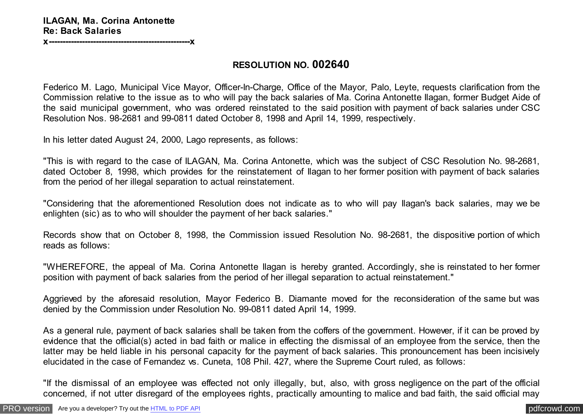**x---------------------------------------------------x**

## **RESOLUTION NO. 002640**

Federico M. Lago, Municipal Vice Mayor, Officer-In-Charge, Office of the Mayor, Palo, Leyte, requests clarification from the Commission relative to the issue as to who will pay the back salaries of Ma. Corina Antonette Ilagan, former Budget Aide of the said municipal government, who was ordered reinstated to the said position with payment of back salaries under CSC Resolution Nos. 98-2681 and 99-0811 dated October 8, 1998 and April 14, 1999, respectively.

In his letter dated August 24, 2000, Lago represents, as follows:

"This is with regard to the case of ILAGAN, Ma. Corina Antonette, which was the subject of CSC Resolution No. 98-2681, dated October 8, 1998, which provides for the reinstatement of Ilagan to her former position with payment of back salaries from the period of her illegal separation to actual reinstatement.

"Considering that the aforementioned Resolution does not indicate as to who will pay Ilagan's back salaries, may we be enlighten (sic) as to who will shoulder the payment of her back salaries."

Records show that on October 8, 1998, the Commission issued Resolution No. 98-2681, the dispositive portion of which reads as follows:

"WHEREFORE, the appeal of Ma. Corina Antonette Ilagan is hereby granted. Accordingly, she is reinstated to her former position with payment of back salaries from the period of her illegal separation to actual reinstatement."

Aggrieved by the aforesaid resolution, Mayor Federico B. Diamante moved for the reconsideration of the same but was denied by the Commission under Resolution No. 99-0811 dated April 14, 1999.

As a general rule, payment of back salaries shall be taken from the coffers of the government. However, if it can be proved by evidence that the official(s) acted in bad faith or malice in effecting the dismissal of an employee from the service, then the latter may be held liable in his personal capacity for the payment of back salaries. This pronouncement has been incisively elucidated in the case of Fernandez vs. Cuneta, 108 Phil. 427, where the Supreme Court ruled, as follows:

"If the dismissal of an employee was effected not only illegally, but, also, with gross negligence on the part of the official concerned, if not utter disregard of the employees rights, practically amounting to malice and bad faith, the said official may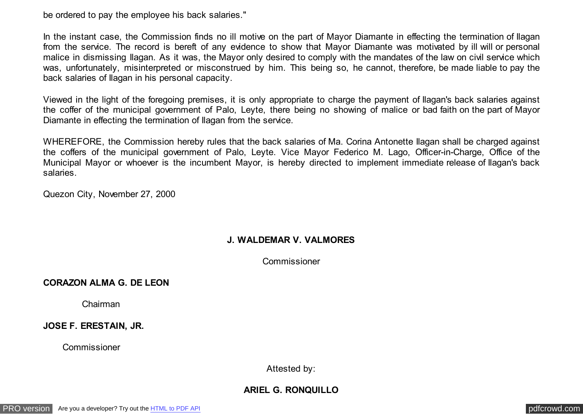be ordered to pay the employee his back salaries."

In the instant case, the Commission finds no ill motive on the part of Mayor Diamante in effecting the termination of Ilagan from the service. The record is bereft of any evidence to show that Mayor Diamante was motivated by ill will or personal malice in dismissing Ilagan. As it was, the Mayor only desired to comply with the mandates of the law on civil service which was, unfortunately, misinterpreted or misconstrued by him. This being so, he cannot, therefore, be made liable to pay the back salaries of Ilagan in his personal capacity.

Viewed in the light of the foregoing premises, it is only appropriate to charge the payment of Ilagan's back salaries against the coffer of the municipal government of Palo, Leyte, there being no showing of malice or bad faith on the part of Mayor Diamante in effecting the termination of Ilagan from the service.

WHEREFORE, the Commission hereby rules that the back salaries of Ma. Corina Antonette Ilagan shall be charged against the coffers of the municipal government of Palo, Leyte. Vice Mayor Federico M. Lago, Officer-in-Charge, Office of the Municipal Mayor or whoever is the incumbent Mayor, is hereby directed to implement immediate release of Ilagan's back salaries.

Quezon City, November 27, 2000

## **J. WALDEMAR V. VALMORES**

Commissioner

**CORAZON ALMA G. DE LEON**

Chairman

**JOSE F. ERESTAIN, JR.**

Commissioner

Attested by:

## **ARIEL G. RONQUILLO**